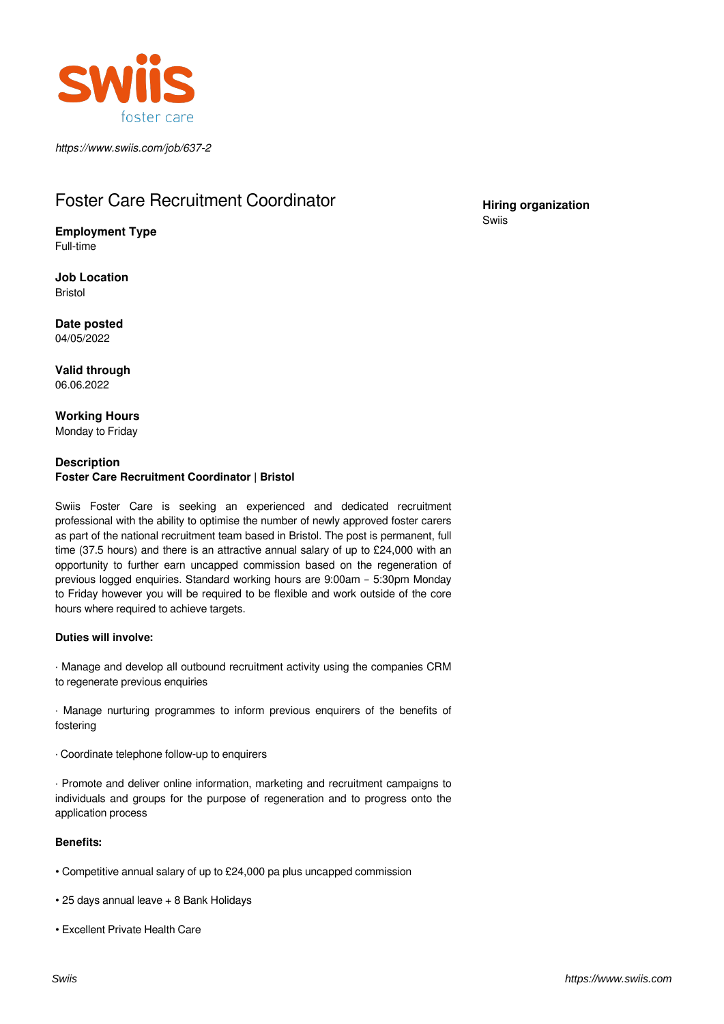

*https://www.swiis.com/job/637-2*

# Foster Care Recruitment Coordinator

**Employment Type** Full-time

**Job Location** Bristol

**Date posted** 04/05/2022

**Valid through** 06.06.2022

**Working Hours** Monday to Friday

## **Description Foster Care Recruitment Coordinator | Bristol**

Swiis Foster Care is seeking an experienced and dedicated recruitment professional with the ability to optimise the number of newly approved foster carers as part of the national recruitment team based in Bristol. The post is permanent, full time (37.5 hours) and there is an attractive annual salary of up to £24,000 with an opportunity to further earn uncapped commission based on the regeneration of previous logged enquiries. Standard working hours are 9:00am – 5:30pm Monday to Friday however you will be required to be flexible and work outside of the core hours where required to achieve targets.

## **Duties will involve:**

· Manage and develop all outbound recruitment activity using the companies CRM to regenerate previous enquiries

· Manage nurturing programmes to inform previous enquirers of the benefits of fostering

· Coordinate telephone follow-up to enquirers

· Promote and deliver online information, marketing and recruitment campaigns to individuals and groups for the purpose of regeneration and to progress onto the application process

## **Benefits:**

- Competitive annual salary of up to £24,000 pa plus uncapped commission
- 25 days annual leave + 8 Bank Holidays
- Excellent Private Health Care

**Hiring organization** Swiis